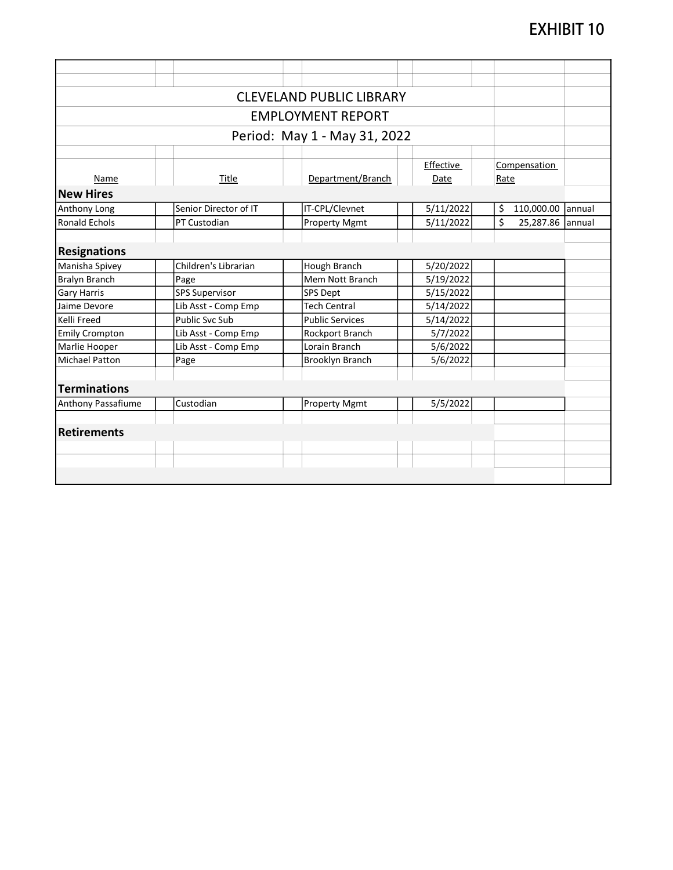| <b>CLEVELAND PUBLIC LIBRARY</b>                                                          |                       |  |  |  |  |  |  |  |  |
|------------------------------------------------------------------------------------------|-----------------------|--|--|--|--|--|--|--|--|
| <b>EMPLOYMENT REPORT</b>                                                                 |                       |  |  |  |  |  |  |  |  |
| Period: May 1 - May 31, 2022                                                             |                       |  |  |  |  |  |  |  |  |
|                                                                                          |                       |  |  |  |  |  |  |  |  |
| Effective<br>Compensation<br>Department/Branch<br>Title<br>Date<br>Rate<br>Name          |                       |  |  |  |  |  |  |  |  |
| <b>New Hires</b>                                                                         |                       |  |  |  |  |  |  |  |  |
| 5/11/2022<br>Senior Director of IT<br>IT-CPL/Clevnet<br>\$<br>Anthony Long               | 110,000.00<br>lannual |  |  |  |  |  |  |  |  |
| \$<br><b>Ronald Echols</b><br>PT Custodian<br><b>Property Mgmt</b><br>5/11/2022          | 25,287.86<br>lannual  |  |  |  |  |  |  |  |  |
|                                                                                          |                       |  |  |  |  |  |  |  |  |
| <b>Resignations</b>                                                                      |                       |  |  |  |  |  |  |  |  |
| Children's Librarian<br>Manisha Spivey<br>Hough Branch<br>5/20/2022                      |                       |  |  |  |  |  |  |  |  |
| <b>Bralyn Branch</b><br>Mem Nott Branch<br>Page<br>5/19/2022                             |                       |  |  |  |  |  |  |  |  |
| <b>SPS Supervisor</b><br>5/15/2022<br><b>SPS Dept</b><br><b>Gary Harris</b>              |                       |  |  |  |  |  |  |  |  |
| Lib Asst - Comp Emp<br><b>Tech Central</b><br>5/14/2022<br>Jaime Devore                  |                       |  |  |  |  |  |  |  |  |
| <b>Public Svc Sub</b><br>$\frac{1}{5}$ /14/2022<br>Kelli Freed<br><b>Public Services</b> |                       |  |  |  |  |  |  |  |  |
| 5/7/2022<br>Lib Asst - Comp Emp<br><b>Emily Crompton</b><br>Rockport Branch              |                       |  |  |  |  |  |  |  |  |
| Lorain Branch<br>Marlie Hooper<br>Lib Asst - Comp Emp<br>5/6/2022                        |                       |  |  |  |  |  |  |  |  |
| <b>Brooklyn Branch</b><br>5/6/2022<br><b>Michael Patton</b><br>Page                      |                       |  |  |  |  |  |  |  |  |
|                                                                                          |                       |  |  |  |  |  |  |  |  |
| <b>Terminations</b>                                                                      |                       |  |  |  |  |  |  |  |  |
| Custodian<br>Anthony Passafiume<br>5/5/2022<br><b>Property Mgmt</b>                      |                       |  |  |  |  |  |  |  |  |
|                                                                                          |                       |  |  |  |  |  |  |  |  |
| <b>Retirements</b>                                                                       |                       |  |  |  |  |  |  |  |  |
|                                                                                          |                       |  |  |  |  |  |  |  |  |
|                                                                                          |                       |  |  |  |  |  |  |  |  |
|                                                                                          |                       |  |  |  |  |  |  |  |  |